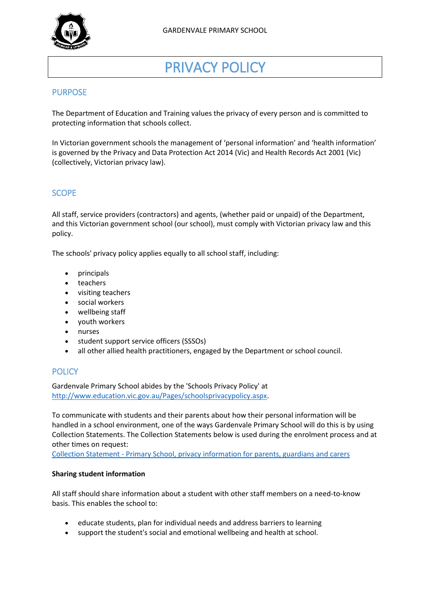

# PRIVACY POLICY

# PURPOSE

The Department of Education and Training values the privacy of every person and is committed to protecting information that schools collect.

In Victorian government schools the management of 'personal information' and 'health information' is governed by the Privacy and Data Protection Act 2014 (Vic) and Health Records Act 2001 (Vic) (collectively, Victorian privacy law).

# **SCOPE**

All staff, service providers (contractors) and agents, (whether paid or unpaid) of the Department, and this Victorian government school (our school), must comply with Victorian privacy law and this policy.

The schools' privacy policy applies equally to all school staff, including:

- principals
- teachers
- visiting teachers
- social workers
- wellbeing staff
- youth workers
- nurses
- student support service officers (SSSOs)
- all other allied health practitioners, engaged by the Department or school council.

# **POLICY**

Gardenvale Primary School abides by the 'Schools Privacy Policy' at [http://www.education.vic.gov.au/Pages/schoolsprivacypolicy.aspx.](http://www.education.vic.gov.au/Pages/schoolsprivacypolicy.aspx)

To communicate with students and their parents about how their personal information will be handled in a school environment, one of the ways Gardenvale Primary School will do this is by using Collection Statements. The Collection Statements below is used during the enrolment process and at other times on request:

Collection Statement - [Primary School, privacy information for parents, guardians and carers](https://www.gardenvaleps.vic.edu.au/About/docs/Collection%20Statement%20-%20Primary%20School.pdf)

#### **Sharing student information**

All staff should share information about a student with other staff members on a need-to-know basis. This enables the school to:

- educate students, plan for individual needs and address barriers to learning
- support the student's social and emotional wellbeing and health at school.